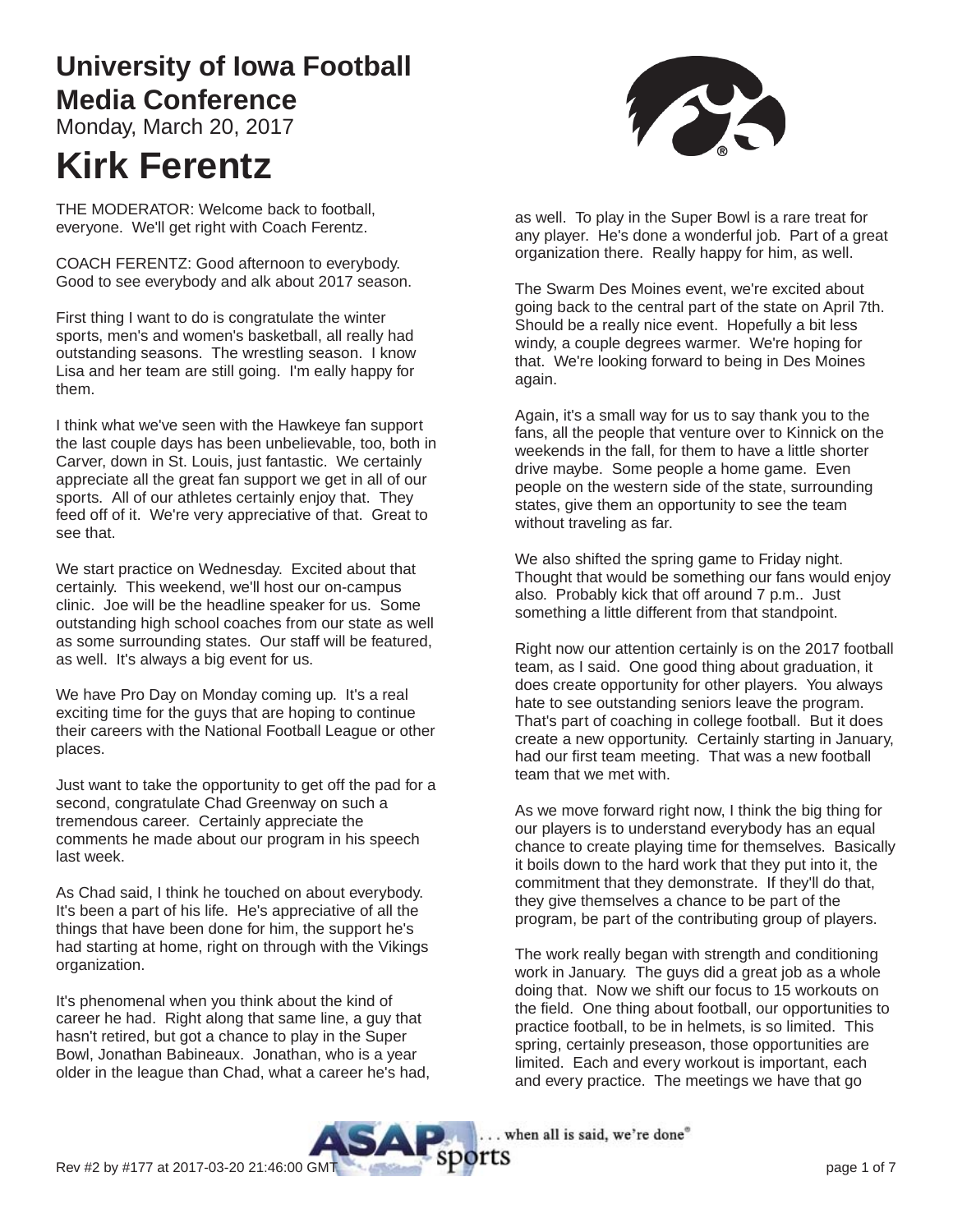# **University of Iowa Football Media Conference**

Monday, March 20, 2017

# **Kirk Ferentz**

THE MODERATOR: Welcome back to football, everyone. We'll get right with Coach Ferentz.

COACH FERENTZ: Good afternoon to everybody. Good to see everybody and alk about 2017 season.

First thing I want to do is congratulate the winter sports, men's and women's basketball, all really had outstanding seasons. The wrestling season. I know Lisa and her team are still going. I'm eally happy for them.

I think what we've seen with the Hawkeye fan support the last couple days has been unbelievable, too, both in Carver, down in St. Louis, just fantastic. We certainly appreciate all the great fan support we get in all of our sports. All of our athletes certainly enjoy that. They feed off of it. We're very appreciative of that. Great to see that.

We start practice on Wednesday. Excited about that certainly. This weekend, we'll host our on-campus clinic. Joe will be the headline speaker for us. Some outstanding high school coaches from our state as well as some surrounding states. Our staff will be featured, as well. It's always a big event for us.

We have Pro Day on Monday coming up. It's a real exciting time for the guys that are hoping to continue their careers with the National Football League or other places.

Just want to take the opportunity to get off the pad for a second, congratulate Chad Greenway on such a tremendous career. Certainly appreciate the comments he made about our program in his speech last week.

As Chad said, I think he touched on about everybody. It's been a part of his life. He's appreciative of all the things that have been done for him, the support he's had starting at home, right on through with the Vikings organization.

It's phenomenal when you think about the kind of career he had. Right along that same line, a guy that hasn't retired, but got a chance to play in the Super Bowl, Jonathan Babineaux. Jonathan, who is a year older in the league than Chad, what a career he's had,



as well. To play in the Super Bowl is a rare treat for any player. He's done a wonderful job. Part of a great organization there. Really happy for him, as well.

The Swarm Des Moines event, we're excited about going back to the central part of the state on April 7th. Should be a really nice event. Hopefully a bit less windy, a couple degrees warmer. We're hoping for that. We're looking forward to being in Des Moines again.

Again, it's a small way for us to say thank you to the fans, all the people that venture over to Kinnick on the weekends in the fall, for them to have a little shorter drive maybe. Some people a home game. Even people on the western side of the state, surrounding states, give them an opportunity to see the team without traveling as far.

We also shifted the spring game to Friday night. Thought that would be something our fans would enjoy also. Probably kick that off around 7 p.m.. Just something a little different from that standpoint.

Right now our attention certainly is on the 2017 football team, as I said. One good thing about graduation, it does create opportunity for other players. You always hate to see outstanding seniors leave the program. That's part of coaching in college football. But it does create a new opportunity. Certainly starting in January, had our first team meeting. That was a new football team that we met with.

As we move forward right now, I think the big thing for our players is to understand everybody has an equal chance to create playing time for themselves. Basically it boils down to the hard work that they put into it, the commitment that they demonstrate. If they'll do that, they give themselves a chance to be part of the program, be part of the contributing group of players.

The work really began with strength and conditioning work in January. The guys did a great job as a whole doing that. Now we shift our focus to 15 workouts on the field. One thing about football, our opportunities to practice football, to be in helmets, is so limited. This spring, certainly preseason, those opportunities are limited. Each and every workout is important, each and every practice. The meetings we have that go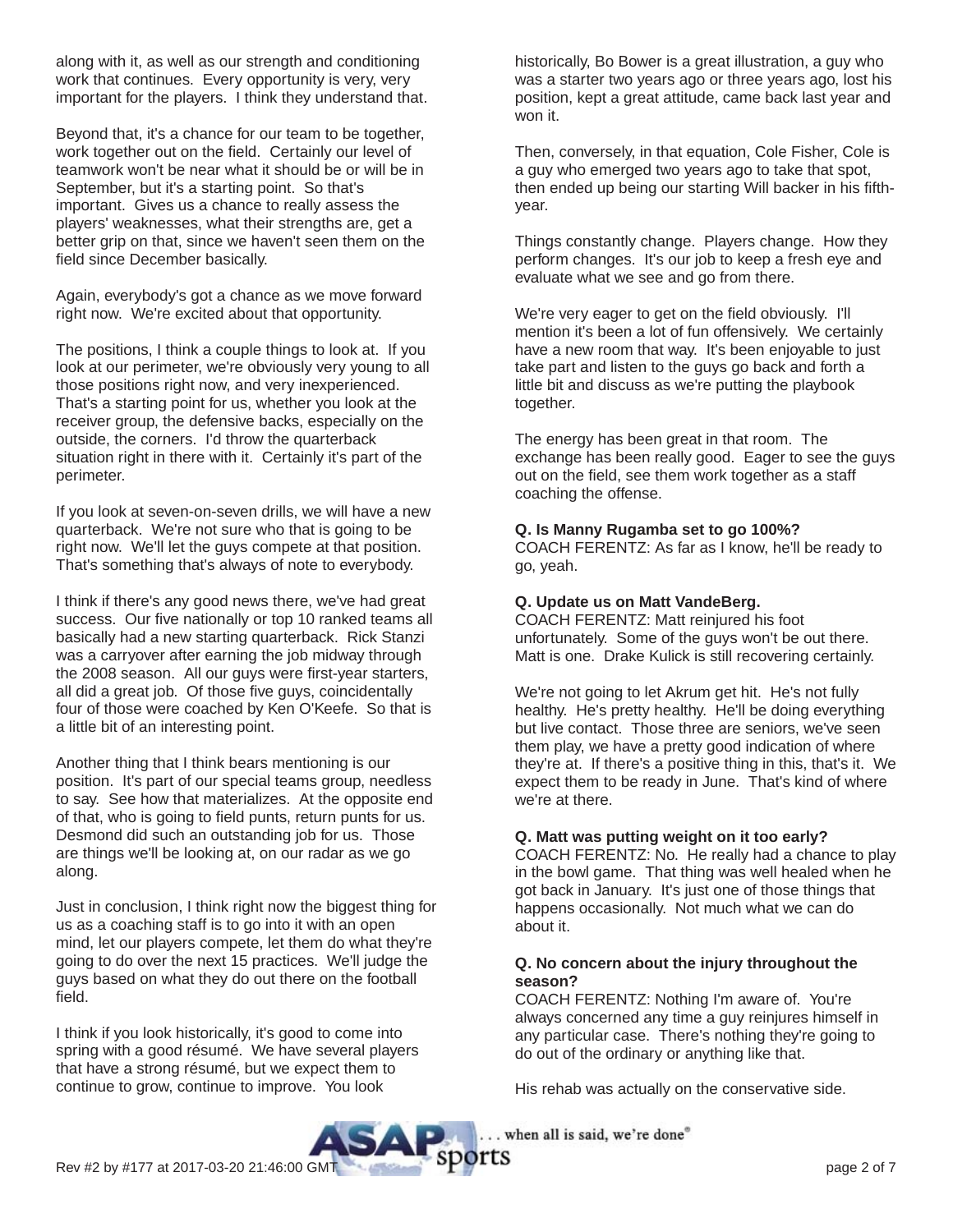along with it, as well as our strength and conditioning work that continues. Every opportunity is very, very important for the players. I think they understand that.

Beyond that, it's a chance for our team to be together, work together out on the field. Certainly our level of teamwork won't be near what it should be or will be in September, but it's a starting point. So that's important. Gives us a chance to really assess the players' weaknesses, what their strengths are, get a better grip on that, since we haven't seen them on the field since December basically.

Again, everybody's got a chance as we move forward right now. We're excited about that opportunity.

The positions, I think a couple things to look at. If you look at our perimeter, we're obviously very young to all those positions right now, and very inexperienced. That's a starting point for us, whether you look at the receiver group, the defensive backs, especially on the outside, the corners. I'd throw the quarterback situation right in there with it. Certainly it's part of the perimeter.

If you look at seven-on-seven drills, we will have a new quarterback. We're not sure who that is going to be right now. We'll let the guys compete at that position. That's something that's always of note to everybody.

I think if there's any good news there, we've had great success. Our five nationally or top 10 ranked teams all basically had a new starting quarterback. Rick Stanzi was a carryover after earning the job midway through the 2008 season. All our guys were first-year starters, all did a great job. Of those five guys, coincidentally four of those were coached by Ken O'Keefe. So that is a little bit of an interesting point.

Another thing that I think bears mentioning is our position. It's part of our special teams group, needless to say. See how that materializes. At the opposite end of that, who is going to field punts, return punts for us. Desmond did such an outstanding job for us. Those are things we'll be looking at, on our radar as we go along.

Just in conclusion, I think right now the biggest thing for us as a coaching staff is to go into it with an open mind, let our players compete, let them do what they're going to do over the next 15 practices. We'll judge the guys based on what they do out there on the football field.

I think if you look historically, it's good to come into spring with a good résumé. We have several players that have a strong résumé, but we expect them to continue to grow, continue to improve. You look

historically, Bo Bower is a great illustration, a guy who was a starter two years ago or three years ago, lost his position, kept a great attitude, came back last year and won it.

Then, conversely, in that equation, Cole Fisher, Cole is a guy who emerged two years ago to take that spot, then ended up being our starting Will backer in his fifthyear.

Things constantly change. Players change. How they perform changes. It's our job to keep a fresh eye and evaluate what we see and go from there.

We're very eager to get on the field obviously. I'll mention it's been a lot of fun offensively. We certainly have a new room that way. It's been enjoyable to just take part and listen to the guys go back and forth a little bit and discuss as we're putting the playbook together.

The energy has been great in that room. The exchange has been really good. Eager to see the guys out on the field, see them work together as a staff coaching the offense.

#### **Q. Is Manny Rugamba set to go 100%?**

COACH FERENTZ: As far as I know, he'll be ready to go, yeah.

#### **Q. Update us on Matt VandeBerg.**

COACH FERENTZ: Matt reinjured his foot unfortunately. Some of the guys won't be out there. Matt is one. Drake Kulick is still recovering certainly.

We're not going to let Akrum get hit. He's not fully healthy. He's pretty healthy. He'll be doing everything but live contact. Those three are seniors, we've seen them play, we have a pretty good indication of where they're at. If there's a positive thing in this, that's it. We expect them to be ready in June. That's kind of where we're at there.

#### **Q. Matt was putting weight on it too early?**

COACH FERENTZ: No. He really had a chance to play in the bowl game. That thing was well healed when he got back in January. It's just one of those things that happens occasionally. Not much what we can do about it.

#### **Q. No concern about the injury throughout the season?**

COACH FERENTZ: Nothing I'm aware of. You're always concerned any time a guy reinjures himself in any particular case. There's nothing they're going to do out of the ordinary or anything like that.

His rehab was actually on the conservative side.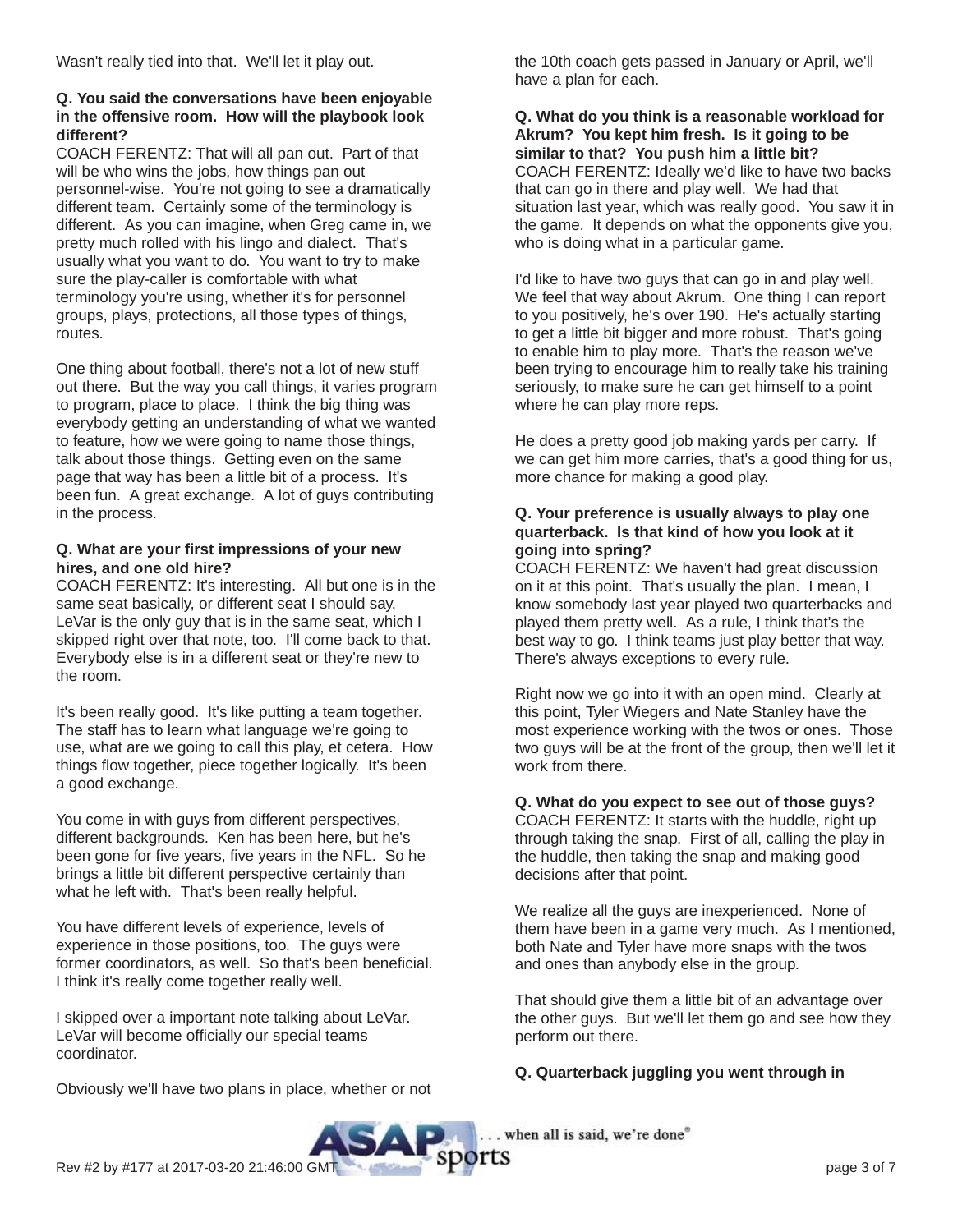Wasn't really tied into that. We'll let it play out.

#### **Q. You said the conversations have been enjoyable in the offensive room. How will the playbook look different?**

COACH FERENTZ: That will all pan out. Part of that will be who wins the jobs, how things pan out personnel-wise. You're not going to see a dramatically different team. Certainly some of the terminology is different. As you can imagine, when Greg came in, we pretty much rolled with his lingo and dialect. That's usually what you want to do. You want to try to make sure the play-caller is comfortable with what terminology you're using, whether it's for personnel groups, plays, protections, all those types of things, routes.

One thing about football, there's not a lot of new stuff out there. But the way you call things, it varies program to program, place to place. I think the big thing was everybody getting an understanding of what we wanted to feature, how we were going to name those things, talk about those things. Getting even on the same page that way has been a little bit of a process. It's been fun. A great exchange. A lot of guys contributing in the process.

#### **Q. What are your first impressions of your new hires, and one old hire?**

COACH FERENTZ: It's interesting. All but one is in the same seat basically, or different seat I should say. LeVar is the only guy that is in the same seat, which I skipped right over that note, too. I'll come back to that. Everybody else is in a different seat or they're new to the room.

It's been really good. It's like putting a team together. The staff has to learn what language we're going to use, what are we going to call this play, et cetera. How things flow together, piece together logically. It's been a good exchange.

You come in with guys from different perspectives, different backgrounds. Ken has been here, but he's been gone for five years, five years in the NFL. So he brings a little bit different perspective certainly than what he left with. That's been really helpful.

You have different levels of experience, levels of experience in those positions, too. The guys were former coordinators, as well. So that's been beneficial. I think it's really come together really well.

I skipped over a important note talking about LeVar. LeVar will become officially our special teams coordinator.

Obviously we'll have two plans in place, whether or not

the 10th coach gets passed in January or April, we'll have a plan for each.

#### **Q. What do you think is a reasonable workload for Akrum? You kept him fresh. Is it going to be similar to that? You push him a little bit?** COACH FERENTZ: Ideally we'd like to have two backs that can go in there and play well. We had that situation last year, which was really good. You saw it in the game. It depends on what the opponents give you, who is doing what in a particular game.

I'd like to have two guys that can go in and play well. We feel that way about Akrum. One thing I can report to you positively, he's over 190. He's actually starting to get a little bit bigger and more robust. That's going to enable him to play more. That's the reason we've been trying to encourage him to really take his training seriously, to make sure he can get himself to a point where he can play more reps.

He does a pretty good job making yards per carry. If we can get him more carries, that's a good thing for us, more chance for making a good play.

#### **Q. Your preference is usually always to play one quarterback. Is that kind of how you look at it going into spring?**

COACH FERENTZ: We haven't had great discussion on it at this point. That's usually the plan. I mean, I know somebody last year played two quarterbacks and played them pretty well. As a rule, I think that's the best way to go. I think teams just play better that way. There's always exceptions to every rule.

Right now we go into it with an open mind. Clearly at this point, Tyler Wiegers and Nate Stanley have the most experience working with the twos or ones. Those two guys will be at the front of the group, then we'll let it work from there.

# **Q. What do you expect to see out of those guys?**

COACH FERENTZ: It starts with the huddle, right up through taking the snap. First of all, calling the play in the huddle, then taking the snap and making good decisions after that point.

We realize all the guys are inexperienced. None of them have been in a game very much. As I mentioned, both Nate and Tyler have more snaps with the twos and ones than anybody else in the group.

That should give them a little bit of an advantage over the other guys. But we'll let them go and see how they perform out there.

# **Q. Quarterback juggling you went through in**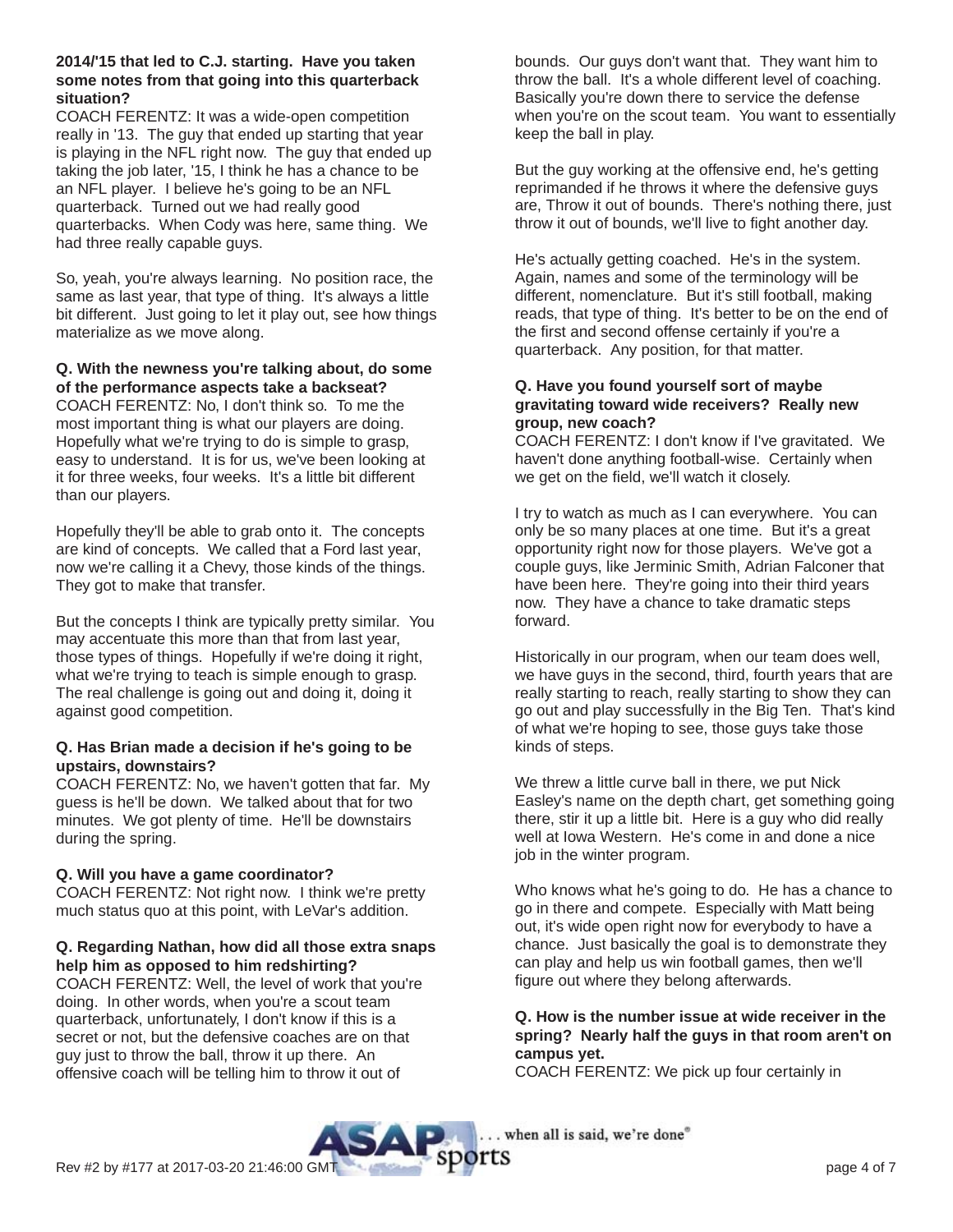#### **2014/'15 that led to C.J. starting. Have you taken some notes from that going into this quarterback situation?**

COACH FERENTZ: It was a wide-open competition really in '13. The guy that ended up starting that year is playing in the NFL right now. The guy that ended up taking the job later, '15, I think he has a chance to be an NFL player. I believe he's going to be an NFL quarterback. Turned out we had really good quarterbacks. When Cody was here, same thing. We had three really capable guys.

So, yeah, you're always learning. No position race, the same as last year, that type of thing. It's always a little bit different. Just going to let it play out, see how things materialize as we move along.

# **Q. With the newness you're talking about, do some of the performance aspects take a backseat?**

COACH FERENTZ: No, I don't think so. To me the most important thing is what our players are doing. Hopefully what we're trying to do is simple to grasp, easy to understand. It is for us, we've been looking at it for three weeks, four weeks. It's a little bit different than our players.

Hopefully they'll be able to grab onto it. The concepts are kind of concepts. We called that a Ford last year, now we're calling it a Chevy, those kinds of the things. They got to make that transfer.

But the concepts I think are typically pretty similar. You may accentuate this more than that from last year, those types of things. Hopefully if we're doing it right, what we're trying to teach is simple enough to grasp. The real challenge is going out and doing it, doing it against good competition.

#### **Q. Has Brian made a decision if he's going to be upstairs, downstairs?**

COACH FERENTZ: No, we haven't gotten that far. My guess is he'll be down. We talked about that for two minutes. We got plenty of time. He'll be downstairs during the spring.

# **Q. Will you have a game coordinator?**

COACH FERENTZ: Not right now. I think we're pretty much status quo at this point, with LeVar's addition.

# **Q. Regarding Nathan, how did all those extra snaps help him as opposed to him redshirting?**

COACH FERENTZ: Well, the level of work that you're doing. In other words, when you're a scout team quarterback, unfortunately, I don't know if this is a secret or not, but the defensive coaches are on that guy just to throw the ball, throw it up there. An offensive coach will be telling him to throw it out of

bounds. Our guys don't want that. They want him to throw the ball. It's a whole different level of coaching. Basically you're down there to service the defense when you're on the scout team. You want to essentially keep the ball in play.

But the guy working at the offensive end, he's getting reprimanded if he throws it where the defensive guys are, Throw it out of bounds. There's nothing there, just throw it out of bounds, we'll live to fight another day.

He's actually getting coached. He's in the system. Again, names and some of the terminology will be different, nomenclature. But it's still football, making reads, that type of thing. It's better to be on the end of the first and second offense certainly if you're a quarterback. Any position, for that matter.

#### **Q. Have you found yourself sort of maybe gravitating toward wide receivers? Really new group, new coach?**

COACH FERENTZ: I don't know if I've gravitated. We haven't done anything football-wise. Certainly when we get on the field, we'll watch it closely.

I try to watch as much as I can everywhere. You can only be so many places at one time. But it's a great opportunity right now for those players. We've got a couple guys, like Jerminic Smith, Adrian Falconer that have been here. They're going into their third years now. They have a chance to take dramatic steps forward.

Historically in our program, when our team does well, we have guys in the second, third, fourth years that are really starting to reach, really starting to show they can go out and play successfully in the Big Ten. That's kind of what we're hoping to see, those guys take those kinds of steps.

We threw a little curve ball in there, we put Nick Easley's name on the depth chart, get something going there, stir it up a little bit. Here is a guy who did really well at Iowa Western. He's come in and done a nice job in the winter program.

Who knows what he's going to do. He has a chance to go in there and compete. Especially with Matt being out, it's wide open right now for everybody to have a chance. Just basically the goal is to demonstrate they can play and help us win football games, then we'll figure out where they belong afterwards.

# **Q. How is the number issue at wide receiver in the spring? Nearly half the guys in that room aren't on campus yet.**

COACH FERENTZ: We pick up four certainly in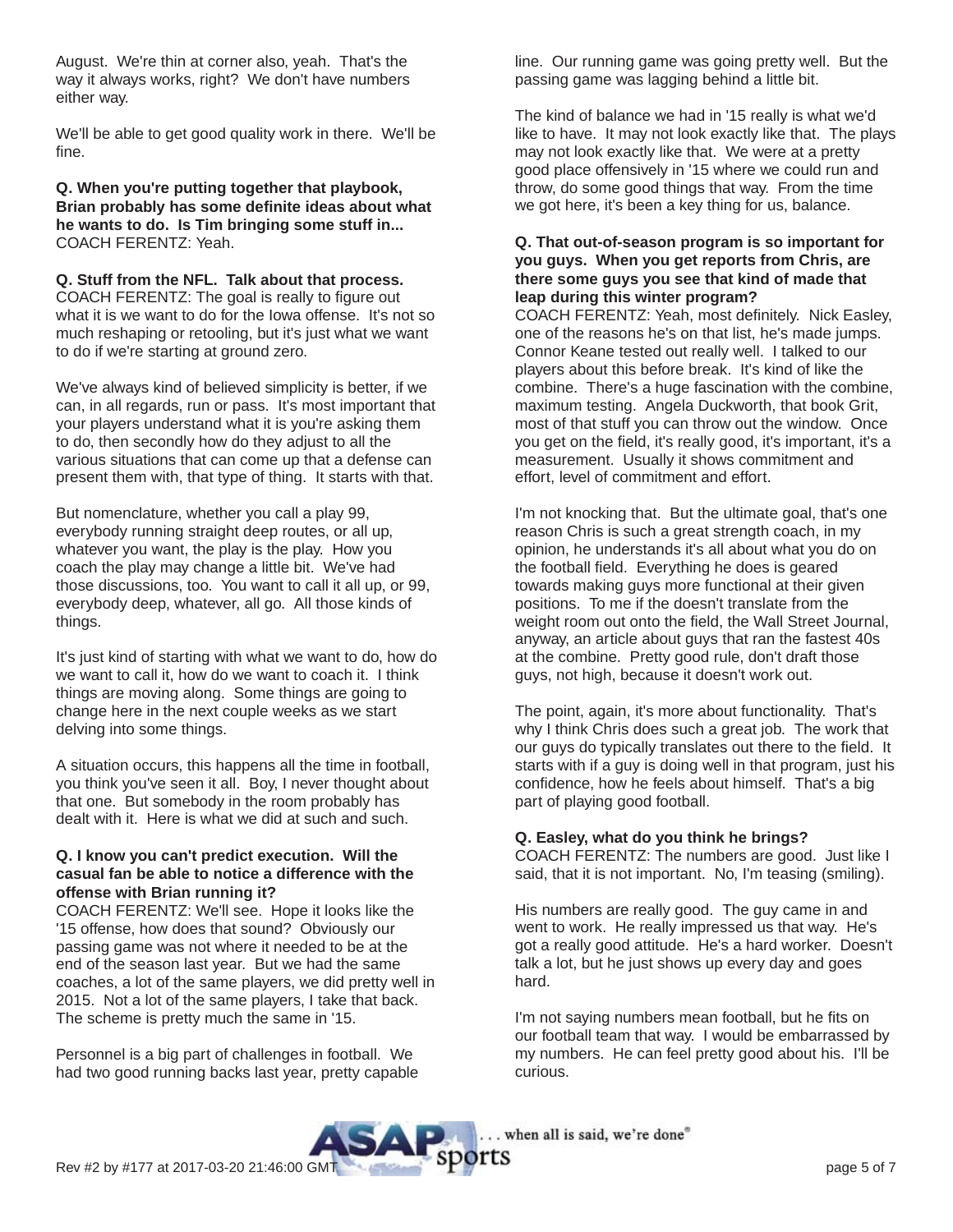August. We're thin at corner also, yeah. That's the way it always works, right? We don't have numbers either way.

We'll be able to get good quality work in there. We'll be fine.

**Q. When you're putting together that playbook, Brian probably has some definite ideas about what he wants to do. Is Tim bringing some stuff in...** COACH FERENTZ: Yeah.

**Q. Stuff from the NFL. Talk about that process.** COACH FERENTZ: The goal is really to figure out what it is we want to do for the Iowa offense. It's not so much reshaping or retooling, but it's just what we want to do if we're starting at ground zero.

We've always kind of believed simplicity is better, if we can, in all regards, run or pass. It's most important that your players understand what it is you're asking them to do, then secondly how do they adjust to all the various situations that can come up that a defense can present them with, that type of thing. It starts with that.

But nomenclature, whether you call a play 99, everybody running straight deep routes, or all up, whatever you want, the play is the play. How you coach the play may change a little bit. We've had those discussions, too. You want to call it all up, or 99, everybody deep, whatever, all go. All those kinds of things.

It's just kind of starting with what we want to do, how do we want to call it, how do we want to coach it. I think things are moving along. Some things are going to change here in the next couple weeks as we start delving into some things.

A situation occurs, this happens all the time in football, you think you've seen it all. Boy, I never thought about that one. But somebody in the room probably has dealt with it. Here is what we did at such and such.

# **Q. I know you can't predict execution. Will the casual fan be able to notice a difference with the offense with Brian running it?**

COACH FERENTZ: We'll see. Hope it looks like the '15 offense, how does that sound? Obviously our passing game was not where it needed to be at the end of the season last year. But we had the same coaches, a lot of the same players, we did pretty well in 2015. Not a lot of the same players, I take that back. The scheme is pretty much the same in '15.

Personnel is a big part of challenges in football. We had two good running backs last year, pretty capable line. Our running game was going pretty well. But the passing game was lagging behind a little bit.

The kind of balance we had in '15 really is what we'd like to have. It may not look exactly like that. The plays may not look exactly like that. We were at a pretty good place offensively in '15 where we could run and throw, do some good things that way. From the time we got here, it's been a key thing for us, balance.

# **Q. That out-of-season program is so important for you guys. When you get reports from Chris, are there some guys you see that kind of made that leap during this winter program?**

COACH FERENTZ: Yeah, most definitely. Nick Easley, one of the reasons he's on that list, he's made jumps. Connor Keane tested out really well. I talked to our players about this before break. It's kind of like the combine. There's a huge fascination with the combine, maximum testing. Angela Duckworth, that book Grit, most of that stuff you can throw out the window. Once you get on the field, it's really good, it's important, it's a measurement. Usually it shows commitment and effort, level of commitment and effort.

I'm not knocking that. But the ultimate goal, that's one reason Chris is such a great strength coach, in my opinion, he understands it's all about what you do on the football field. Everything he does is geared towards making guys more functional at their given positions. To me if the doesn't translate from the weight room out onto the field, the Wall Street Journal, anyway, an article about guys that ran the fastest 40s at the combine. Pretty good rule, don't draft those guys, not high, because it doesn't work out.

The point, again, it's more about functionality. That's why I think Chris does such a great job. The work that our guys do typically translates out there to the field. It starts with if a guy is doing well in that program, just his confidence, how he feels about himself. That's a big part of playing good football.

# **Q. Easley, what do you think he brings?**

COACH FERENTZ: The numbers are good. Just like I said, that it is not important. No, I'm teasing (smiling).

His numbers are really good. The guy came in and went to work. He really impressed us that way. He's got a really good attitude. He's a hard worker. Doesn't talk a lot, but he just shows up every day and goes hard.

I'm not saying numbers mean football, but he fits on our football team that way. I would be embarrassed by my numbers. He can feel pretty good about his. I'll be curious.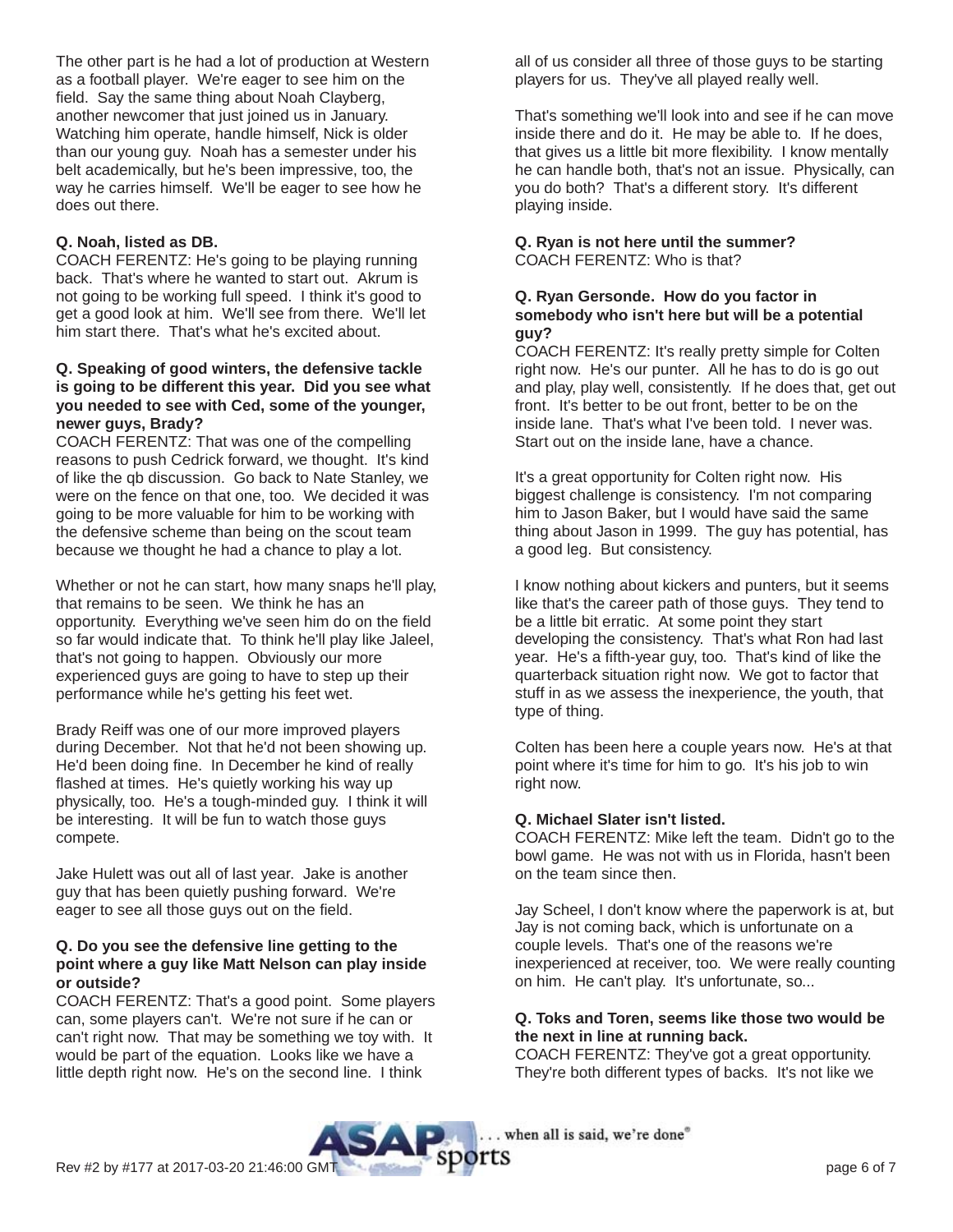The other part is he had a lot of production at Western as a football player. We're eager to see him on the field. Say the same thing about Noah Clayberg, another newcomer that just joined us in January. Watching him operate, handle himself, Nick is older than our young guy. Noah has a semester under his belt academically, but he's been impressive, too, the way he carries himself. We'll be eager to see how he does out there.

# **Q. Noah, listed as DB.**

COACH FERENTZ: He's going to be playing running back. That's where he wanted to start out. Akrum is not going to be working full speed. I think it's good to get a good look at him. We'll see from there. We'll let him start there. That's what he's excited about.

#### **Q. Speaking of good winters, the defensive tackle is going to be different this year. Did you see what you needed to see with Ced, some of the younger, newer guys, Brady?**

COACH FERENTZ: That was one of the compelling reasons to push Cedrick forward, we thought. It's kind of like the qb discussion. Go back to Nate Stanley, we were on the fence on that one, too. We decided it was going to be more valuable for him to be working with the defensive scheme than being on the scout team because we thought he had a chance to play a lot.

Whether or not he can start, how many snaps he'll play, that remains to be seen. We think he has an opportunity. Everything we've seen him do on the field so far would indicate that. To think he'll play like Jaleel, that's not going to happen. Obviously our more experienced guys are going to have to step up their performance while he's getting his feet wet.

Brady Reiff was one of our more improved players during December. Not that he'd not been showing up. He'd been doing fine. In December he kind of really flashed at times. He's quietly working his way up physically, too. He's a tough-minded guy. I think it will be interesting. It will be fun to watch those guys compete.

Jake Hulett was out all of last year. Jake is another guy that has been quietly pushing forward. We're eager to see all those guys out on the field.

#### **Q. Do you see the defensive line getting to the point where a guy like Matt Nelson can play inside or outside?**

COACH FERENTZ: That's a good point. Some players can, some players can't. We're not sure if he can or can't right now. That may be something we toy with. It would be part of the equation. Looks like we have a little depth right now. He's on the second line. I think

all of us consider all three of those guys to be starting players for us. They've all played really well.

That's something we'll look into and see if he can move inside there and do it. He may be able to. If he does, that gives us a little bit more flexibility. I know mentally he can handle both, that's not an issue. Physically, can you do both? That's a different story. It's different playing inside.

#### **Q. Ryan is not here until the summer?** COACH FERENTZ: Who is that?

#### **Q. Ryan Gersonde. How do you factor in somebody who isn't here but will be a potential guy?**

COACH FERENTZ: It's really pretty simple for Colten right now. He's our punter. All he has to do is go out and play, play well, consistently. If he does that, get out front. It's better to be out front, better to be on the inside lane. That's what I've been told. I never was. Start out on the inside lane, have a chance.

It's a great opportunity for Colten right now. His biggest challenge is consistency. I'm not comparing him to Jason Baker, but I would have said the same thing about Jason in 1999. The guy has potential, has a good leg. But consistency.

I know nothing about kickers and punters, but it seems like that's the career path of those guys. They tend to be a little bit erratic. At some point they start developing the consistency. That's what Ron had last year. He's a fifth-year guy, too. That's kind of like the quarterback situation right now. We got to factor that stuff in as we assess the inexperience, the youth, that type of thing.

Colten has been here a couple years now. He's at that point where it's time for him to go. It's his job to win right now.

#### **Q. Michael Slater isn't listed.**

COACH FERENTZ: Mike left the team. Didn't go to the bowl game. He was not with us in Florida, hasn't been on the team since then.

Jay Scheel, I don't know where the paperwork is at, but Jay is not coming back, which is unfortunate on a couple levels. That's one of the reasons we're inexperienced at receiver, too. We were really counting on him. He can't play. It's unfortunate, so...

#### **Q. Toks and Toren, seems like those two would be the next in line at running back.**

COACH FERENTZ: They've got a great opportunity. They're both different types of backs. It's not like we